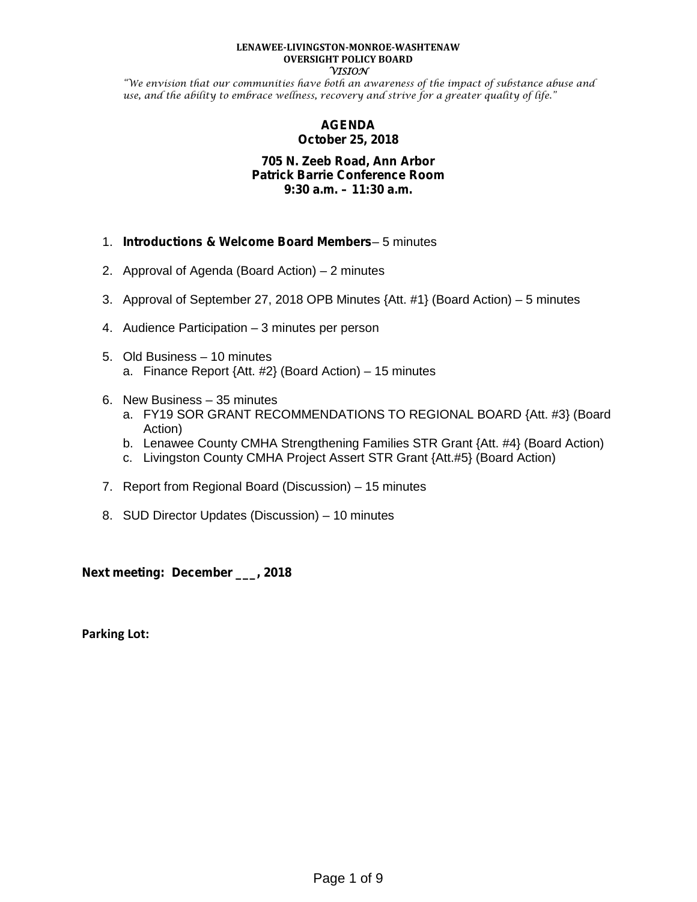#### **LENAWEE-LIVINGSTON-MONROE-WASHTENAW OVERSIGHT POLICY BOARD VISION**

"We envision that our communities have both an awareness of the impact of substance abuse and use, and the ability to embrace wellness, recovery and strive for a greater quality of life."

# **AGENDA October 25, 2018**

# **705 N. Zeeb Road, Ann Arbor Patrick Barrie Conference Room 9:30 a.m. – 11:30 a.m.**

- 1. *Introductions & Welcome Board Members* 5 minutes
- 2. Approval of Agenda (Board Action) 2 minutes
- 3. Approval of September 27, 2018 OPB Minutes {Att. #1} (Board Action) 5 minutes
- 4. Audience Participation 3 minutes per person
- 5. Old Business 10 minutes a. Finance Report {Att. #2} (Board Action) – 15 minutes
- 6. New Business 35 minutes
	- a. FY19 SOR GRANT RECOMMENDATIONS TO REGIONAL BOARD {Att. #3} (Board Action)
	- b. Lenawee County CMHA Strengthening Families STR Grant {Att. #4} (Board Action)
	- c. Livingston County CMHA Project Assert STR Grant {Att.#5} (Board Action)
- 7. Report from Regional Board (Discussion) 15 minutes
- 8. SUD Director Updates (Discussion) 10 minutes

**Next meeting: December \_\_\_, 2018**

**Parking Lot:**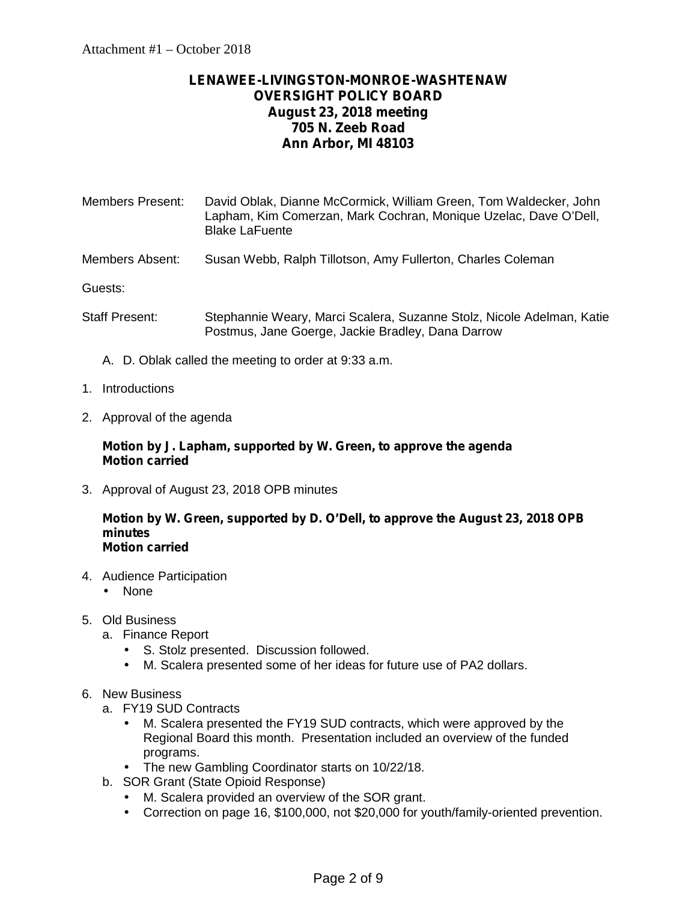# **LENAWEE-LIVINGSTON-MONROE-WASHTENAW OVERSIGHT POLICY BOARD August 23, 2018 meeting 705 N. Zeeb Road Ann Arbor, MI 48103**

| <b>Members Present:</b> | David Oblak, Dianne McCormick, William Green, Tom Waldecker, John<br>Lapham, Kim Comerzan, Mark Cochran, Monique Uzelac, Dave O'Dell,<br><b>Blake LaFuente</b> |
|-------------------------|----------------------------------------------------------------------------------------------------------------------------------------------------------------|
| Members Absent:         | Susan Webb, Ralph Tillotson, Amy Fullerton, Charles Coleman                                                                                                    |
|                         |                                                                                                                                                                |

Guests:

- Staff Present: Stephannie Weary, Marci Scalera, Suzanne Stolz, Nicole Adelman, Katie Postmus, Jane Goerge, Jackie Bradley, Dana Darrow
	- A. D. Oblak called the meeting to order at 9:33 a.m.
- 1. Introductions
- 2. Approval of the agenda

# **Motion by J. Lapham, supported by W. Green, to approve the agenda Motion carried**

3. Approval of August 23, 2018 OPB minutes

#### **Motion by W. Green, supported by D. O'Dell, to approve the August 23, 2018 OPB minutes Motion carried**

- 4. Audience Participation
	- None
- 5. Old Business
	- a. Finance Report
		- S. Stolz presented. Discussion followed.
		- M. Scalera presented some of her ideas for future use of PA2 dollars.
- 6. New Business
	- a. FY19 SUD Contracts
		- M. Scalera presented the FY19 SUD contracts, which were approved by the Regional Board this month. Presentation included an overview of the funded programs.
		- The new Gambling Coordinator starts on 10/22/18.
	- b. SOR Grant (State Opioid Response)
		- M. Scalera provided an overview of the SOR grant.
		- Correction on page 16, \$100,000, not \$20,000 for youth/family-oriented prevention.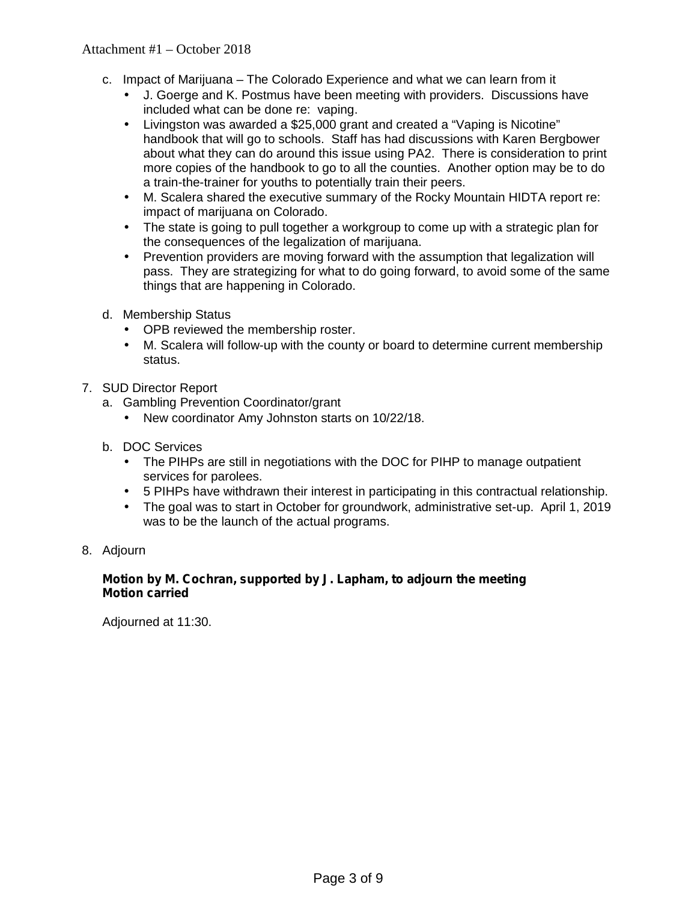- c. Impact of Marijuana The Colorado Experience and what we can learn from it
	- J. Goerge and K. Postmus have been meeting with providers. Discussions have included what can be done re: vaping.
	- Livingston was awarded a \$25,000 grant and created a "Vaping is Nicotine" handbook that will go to schools. Staff has had discussions with Karen Bergbower about what they can do around this issue using PA2. There is consideration to print more copies of the handbook to go to all the counties. Another option may be to do a train-the-trainer for youths to potentially train their peers.
	- M. Scalera shared the executive summary of the Rocky Mountain HIDTA report re: impact of marijuana on Colorado.
	- The state is going to pull together a workgroup to come up with a strategic plan for the consequences of the legalization of marijuana.
	- Prevention providers are moving forward with the assumption that legalization will pass. They are strategizing for what to do going forward, to avoid some of the same things that are happening in Colorado.
- d. Membership Status
	- OPB reviewed the membership roster.
	- M. Scalera will follow-up with the county or board to determine current membership status.
- 7. SUD Director Report
	- a. Gambling Prevention Coordinator/grant
		- New coordinator Amy Johnston starts on 10/22/18.
	- b. DOC Services
		- The PIHPs are still in negotiations with the DOC for PIHP to manage outpatient services for parolees.
		- 5 PIHPs have withdrawn their interest in participating in this contractual relationship.
		- The goal was to start in October for groundwork, administrative set-up. April 1, 2019 was to be the launch of the actual programs.
- 8. Adjourn

# **Motion by M. Cochran, supported by J. Lapham, to adjourn the meeting Motion carried**

Adjourned at 11:30.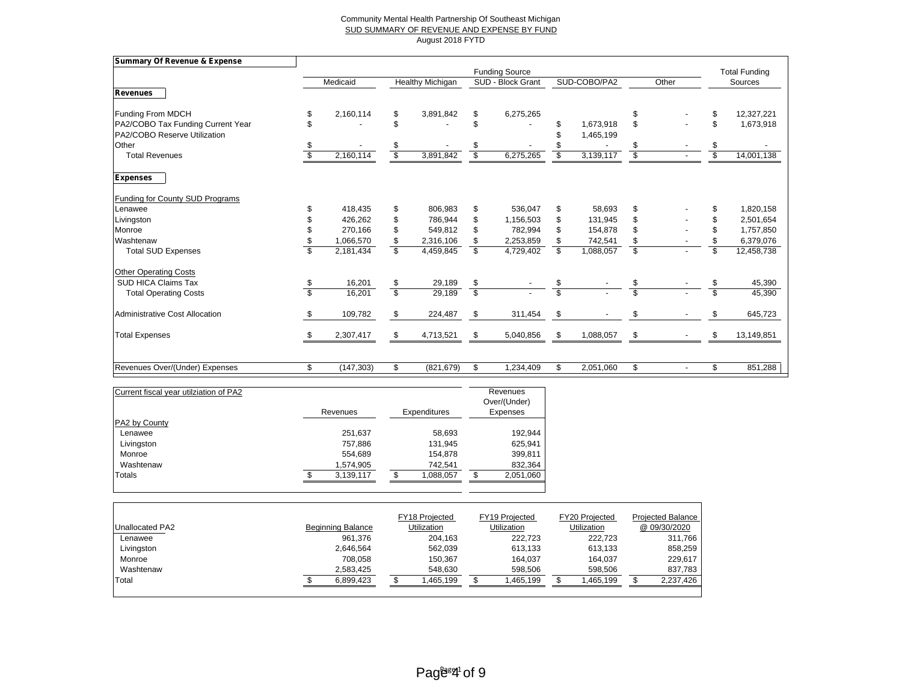#### Community Mental Health Partnership Of Southeast Michigan SUD SUMMARY OF REVENUE AND EXPENSE BY FUND August 2018 FYTD

| <b>Summary Of Revenue &amp; Expense</b> |                  |                          |                  |                         |                       |                         |              |                         |       |    |                      |
|-----------------------------------------|------------------|--------------------------|------------------|-------------------------|-----------------------|-------------------------|--------------|-------------------------|-------|----|----------------------|
|                                         |                  |                          |                  |                         | <b>Funding Source</b> |                         |              |                         |       |    | <b>Total Funding</b> |
|                                         | Medicaid         |                          | Healthy Michigan |                         | SUD - Block Grant     |                         | SUD-COBO/PA2 |                         | Other |    | Sources              |
| <b>Revenues</b>                         |                  |                          |                  |                         |                       |                         |              |                         |       |    |                      |
| Funding From MDCH                       | \$<br>2,160,114  | \$                       | 3,891,842        | \$                      | 6,275,265             |                         |              | \$                      |       |    | 12,327,221           |
| PA2/COBO Tax Funding Current Year       |                  | \$                       |                  | \$                      |                       | S                       | 1,673,918    | \$                      |       | \$ | 1,673,918            |
| PA2/COBO Reserve Utilization            |                  |                          |                  |                         |                       |                         | 1,465,199    |                         |       |    |                      |
| Other                                   |                  | \$                       |                  | \$                      |                       |                         |              | \$                      |       | \$ |                      |
| <b>Total Revenues</b>                   | 2,160,114        | $\overline{\mathcal{S}}$ | 3,891,842        | S                       | 6,275,265             |                         | 3,139,117    | $\overline{\$}$         |       | S  | 14,001,138           |
| <b>Expenses</b>                         |                  |                          |                  |                         |                       |                         |              |                         |       |    |                      |
| <b>Funding for County SUD Programs</b>  |                  |                          |                  |                         |                       |                         |              |                         |       |    |                      |
| Lenawee                                 | 418,435          | \$                       | 806,983          | \$                      | 536,047               | \$                      | 58,693       | \$                      |       | \$ | 1,820,158            |
| Livingston                              | 426,262          | \$                       | 786,944          | \$                      | 1,156,503             | \$                      | 131,945      | \$                      |       | \$ | 2,501,654            |
| Monroe                                  | 270,166          | \$                       | 549,812          | \$                      | 782,994               | \$                      | 154,878      | \$                      |       | \$ | 1,757,850            |
| Washtenaw                               | 1,066,570        | \$                       | 2,316,106        |                         | 2,253,859             | \$                      | 742,541      | \$                      |       |    | 6,379,076            |
| <b>Total SUD Expenses</b>               | \$<br>2,181,434  | $\overline{\mathbb{S}}$  | 4,459,845        | \$                      | 4,729,402             | \$                      | 1,088,057    | $\overline{\mathbf{s}}$ |       | \$ | 12,458,738           |
| <b>Other Operating Costs</b>            |                  |                          |                  |                         |                       |                         |              |                         |       |    |                      |
| <b>SUD HICA Claims Tax</b>              | 16,201           | \$                       | 29,189           | \$                      |                       | \$                      |              | \$                      |       |    | 45,390               |
| <b>Total Operating Costs</b>            | \$<br>16,201     | $\overline{\mathcal{S}}$ | 29,189           | $\overline{\mathbb{S}}$ |                       | $\overline{\mathbb{S}}$ |              | $\overline{\mathbb{S}}$ |       | \$ | 45,390               |
| <b>Administrative Cost Allocation</b>   | 109,782          | \$                       | 224,487          | \$                      | 311,454               | \$                      |              | \$                      |       |    | 645,723              |
| <b>Total Expenses</b>                   | 2,307,417        | \$                       | 4,713,521        | S                       | 5,040,856             | -\$                     | 1,088,057    | \$                      |       |    | 13,149,851           |
| Revenues Over/(Under) Expenses          | \$<br>(147, 303) | \$                       | (821, 679)       | \$                      | 1,234,409             | \$                      | 2,051,060    | \$                      |       | \$ | 851,288              |

| Current fiscal year utilziation of PA2 | Revenues |           | Expenditures | Revenues<br>Over/(Under)<br>Expenses |
|----------------------------------------|----------|-----------|--------------|--------------------------------------|
| PA2 by County                          |          |           |              |                                      |
| Lenawee                                |          | 251,637   | 58,693       | 192,944                              |
| Livingston                             |          | 757,886   | 131,945      | 625,941                              |
| Monroe                                 |          | 554,689   | 154,878      | 399,811                              |
| Washtenaw                              |          | 1,574,905 | 742,541      | 832,364                              |
| Totals                                 |          | 3,139,117 | 1,088,057    | 2,051,060                            |

|                 |                          | FY18 Projected | FY19 Projected     | FY20 Projected     | <b>Projected Balance</b> |
|-----------------|--------------------------|----------------|--------------------|--------------------|--------------------------|
| Unallocated PA2 | <b>Beginning Balance</b> | Utilization    | <b>Utilization</b> | <b>Utilization</b> | @ 09/30/2020             |
| Lenawee         | 961.376                  | 204.163        | 222.723            | 222.723            | 311.766                  |
| Livingston      | 2,646,564                | 562,039        | 613.133            | 613.133            | 858,259                  |
| Monroe          | 708.058                  | 150.367        | 164.037            | 164.037            | 229,617                  |
| Washtenaw       | 2,583,425                | 548,630        | 598.506            | 598.506            | 837,783                  |
| Total           | 6,899,423                | .465,199       | ,465,199           | .465,199           | 2,237,426                |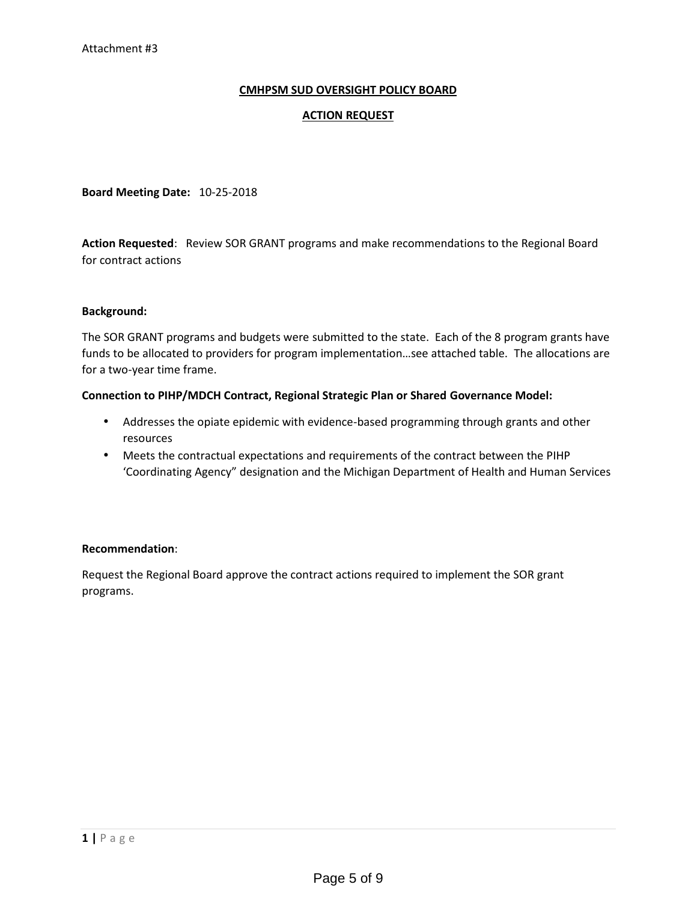# **CMHPSM SUD OVERSIGHT POLICY BOARD**

### **ACTION REQUEST**

**Board Meeting Date:** 10-25-2018

**Action Requested**: Review SOR GRANT programs and make recommendations to the Regional Board for contract actions

#### **Background:**

The SOR GRANT programs and budgets were submitted to the state. Each of the 8 program grants have funds to be allocated to providers for program implementation…see attached table. The allocations are for a two-year time frame.

#### **Connection to PIHP/MDCH Contract, Regional Strategic Plan or Shared Governance Model:**

- Addresses the opiate epidemic with evidence-based programming through grants and other resources
- Meets the contractual expectations and requirements of the contract between the PIHP 'Coordinating Agency" designation and the Michigan Department of Health and Human Services

# **Recommendation**:

Request the Regional Board approve the contract actions required to implement the SOR grant programs.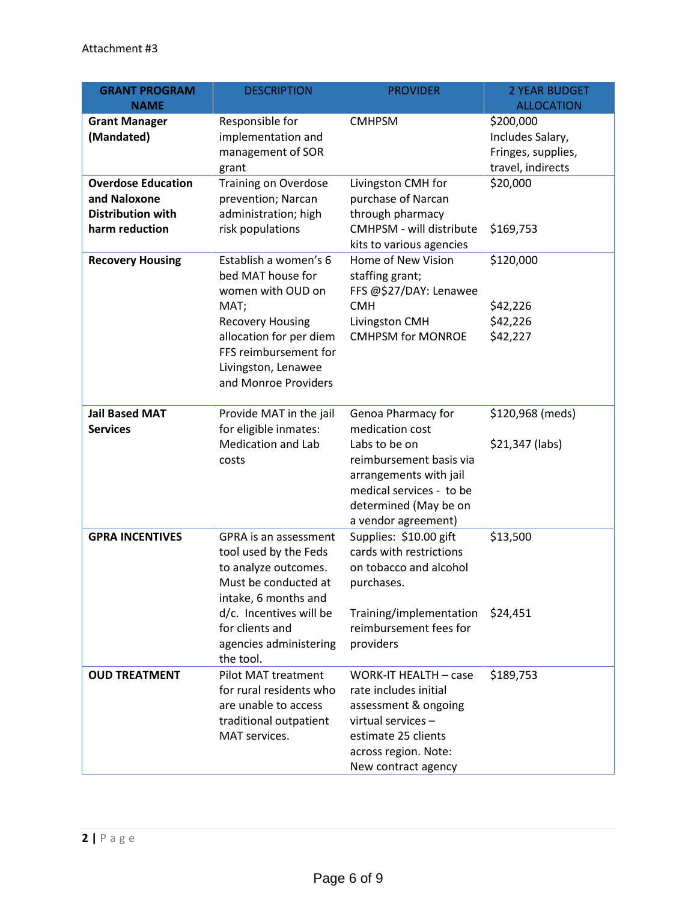| <b>GRANT PROGRAM</b>                                                                    | <b>DESCRIPTION</b>                                                                                                         | <b>PROVIDER</b>                                                                                                                                                           | <b>2 YEAR BUDGET</b>                                                     |
|-----------------------------------------------------------------------------------------|----------------------------------------------------------------------------------------------------------------------------|---------------------------------------------------------------------------------------------------------------------------------------------------------------------------|--------------------------------------------------------------------------|
| <b>NAME</b>                                                                             |                                                                                                                            |                                                                                                                                                                           | <b>ALLOCATION</b>                                                        |
| <b>Grant Manager</b><br>(Mandated)                                                      | Responsible for<br>implementation and<br>management of SOR<br>grant                                                        | <b>CMHPSM</b>                                                                                                                                                             | \$200,000<br>Includes Salary,<br>Fringes, supplies,<br>travel, indirects |
| <b>Overdose Education</b><br>and Naloxone<br><b>Distribution with</b><br>harm reduction | <b>Training on Overdose</b><br>prevention; Narcan<br>administration; high<br>risk populations                              | Livingston CMH for<br>purchase of Narcan<br>through pharmacy<br>CMHPSM - will distribute                                                                                  | \$20,000<br>\$169,753                                                    |
|                                                                                         |                                                                                                                            | kits to various agencies                                                                                                                                                  |                                                                          |
| <b>Recovery Housing</b>                                                                 | Establish a women's 6<br>bed MAT house for<br>women with OUD on                                                            | Home of New Vision<br>staffing grant;<br>FFS @\$27/DAY: Lenawee                                                                                                           | \$120,000                                                                |
|                                                                                         | MAT;                                                                                                                       | <b>CMH</b>                                                                                                                                                                | \$42,226                                                                 |
|                                                                                         | <b>Recovery Housing</b><br>allocation for per diem<br>FFS reimbursement for<br>Livingston, Lenawee<br>and Monroe Providers | Livingston CMH<br><b>CMHPSM for MONROE</b>                                                                                                                                | \$42,226<br>\$42,227                                                     |
| <b>Jail Based MAT</b><br><b>Services</b>                                                | Provide MAT in the jail<br>for eligible inmates:                                                                           | Genoa Pharmacy for<br>medication cost                                                                                                                                     | \$120,968 (meds)                                                         |
|                                                                                         | <b>Medication and Lab</b><br>costs                                                                                         | Labs to be on<br>reimbursement basis via<br>arrangements with jail<br>medical services - to be<br>determined (May be on<br>a vendor agreement)                            | \$21,347 (labs)                                                          |
| <b>GPRA INCENTIVES</b>                                                                  | GPRA is an assessment<br>tool used by the Feds<br>to analyze outcomes.<br>Must be conducted at<br>intake, 6 months and     | Supplies: \$10.00 gift<br>cards with restrictions<br>on tobacco and alcohol<br>purchases.                                                                                 | \$13,500                                                                 |
|                                                                                         | d/c. Incentives will be<br>for clients and<br>agencies administering<br>the tool.                                          | Training/implementation<br>reimbursement fees for<br>providers                                                                                                            | \$24,451                                                                 |
| <b>OUD TREATMENT</b>                                                                    | Pilot MAT treatment<br>for rural residents who<br>are unable to access<br>traditional outpatient<br>MAT services.          | <b>WORK-IT HEALTH - case</b><br>rate includes initial<br>assessment & ongoing<br>virtual services -<br>estimate 25 clients<br>across region. Note:<br>New contract agency | \$189,753                                                                |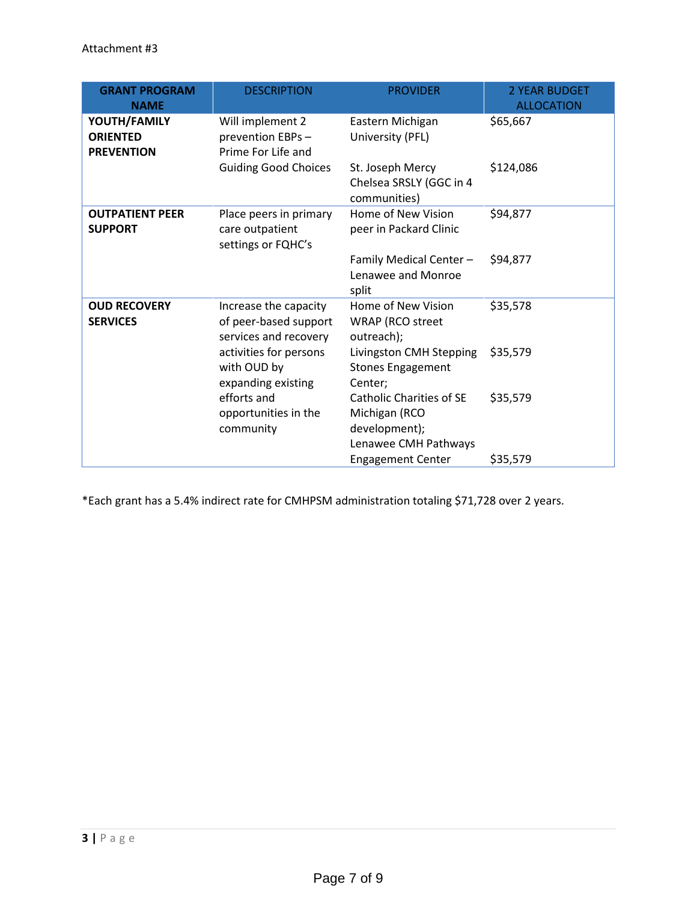| <b>GRANT PROGRAM</b><br><b>NAME</b>                  | <b>DESCRIPTION</b>                                                      | <b>PROVIDER</b>                                                                    | <b>2 YEAR BUDGET</b><br><b>ALLOCATION</b> |
|------------------------------------------------------|-------------------------------------------------------------------------|------------------------------------------------------------------------------------|-------------------------------------------|
| YOUTH/FAMILY<br><b>ORIENTED</b><br><b>PREVENTION</b> | Will implement 2<br>prevention EBPs -<br>Prime For Life and             | Eastern Michigan<br>University (PFL)                                               | \$65,667                                  |
|                                                      | <b>Guiding Good Choices</b>                                             | St. Joseph Mercy<br>Chelsea SRSLY (GGC in 4<br>communities)                        | \$124,086                                 |
| <b>OUTPATIENT PEER</b><br><b>SUPPORT</b>             | Place peers in primary<br>care outpatient<br>settings or FQHC's         | Home of New Vision<br>peer in Packard Clinic                                       | \$94,877                                  |
|                                                      |                                                                         | Family Medical Center -<br>Lenawee and Monroe<br>split                             | \$94,877                                  |
| <b>OUD RECOVERY</b><br><b>SERVICES</b>               | Increase the capacity<br>of peer-based support<br>services and recovery | Home of New Vision<br><b>WRAP</b> (RCO street<br>outreach);                        | \$35,578                                  |
|                                                      | activities for persons<br>with OUD by<br>expanding existing             | Livingston CMH Stepping<br><b>Stones Engagement</b><br>Center;                     | \$35,579                                  |
|                                                      | efforts and<br>opportunities in the<br>community                        | Catholic Charities of SE<br>Michigan (RCO<br>development);<br>Lenawee CMH Pathways | \$35,579                                  |
|                                                      |                                                                         | <b>Engagement Center</b>                                                           | \$35,579                                  |

\*Each grant has a 5.4% indirect rate for CMHPSM administration totaling \$71,728 over 2 years.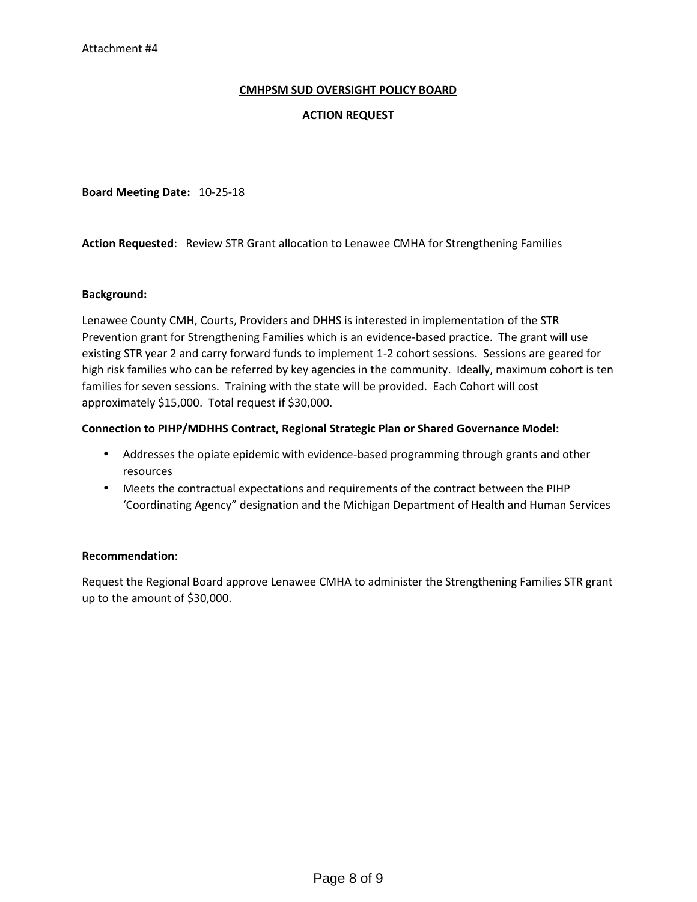# **CMHPSM SUD OVERSIGHT POLICY BOARD**

# **ACTION REQUEST**

**Board Meeting Date:** 10-25-18

**Action Requested**: Review STR Grant allocation to Lenawee CMHA for Strengthening Families

#### **Background:**

Lenawee County CMH, Courts, Providers and DHHS is interested in implementation of the STR Prevention grant for Strengthening Families which is an evidence-based practice. The grant will use existing STR year 2 and carry forward funds to implement 1-2 cohort sessions. Sessions are geared for high risk families who can be referred by key agencies in the community. Ideally, maximum cohort is ten families for seven sessions. Training with the state will be provided. Each Cohort will cost approximately \$15,000. Total request if \$30,000.

#### **Connection to PIHP/MDHHS Contract, Regional Strategic Plan or Shared Governance Model:**

- Addresses the opiate epidemic with evidence-based programming through grants and other resources
- Meets the contractual expectations and requirements of the contract between the PIHP 'Coordinating Agency" designation and the Michigan Department of Health and Human Services

# **Recommendation**:

Request the Regional Board approve Lenawee CMHA to administer the Strengthening Families STR grant up to the amount of \$30,000.